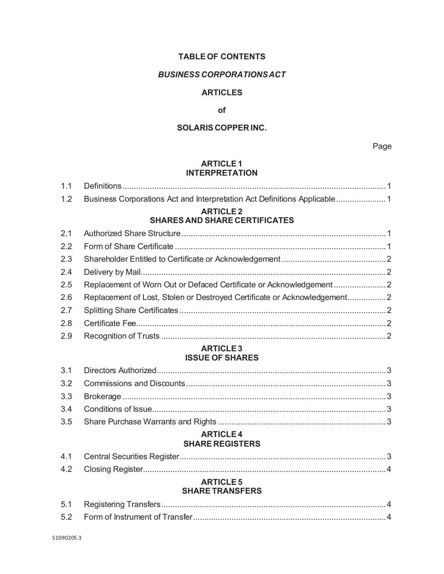## **TABLE OF CONTENTS**

## *BUSINESS CORPORATIONS ACT*

## **ARTICLES**

#### **of**

## **SOLARIS COPPER INC.**

Page

## **ARTICLE 1 INTERPRETATION**

| Business Corporations Act and Interpretation Act Definitions Applicable  |  |
|--------------------------------------------------------------------------|--|
| <b>ARTICLE 2</b><br><b>SHARES AND SHARE CERTIFICATES</b>                 |  |
|                                                                          |  |
|                                                                          |  |
|                                                                          |  |
|                                                                          |  |
|                                                                          |  |
| Replacement of Lost, Stolen or Destroyed Certificate or Acknowledgement2 |  |
|                                                                          |  |
|                                                                          |  |
|                                                                          |  |
|                                                                          |  |

#### **ARTICLE 3 ISSUE OF SHARES**

| <b>ADTICLE 4</b> |  |  |  |
|------------------|--|--|--|
|                  |  |  |  |
|                  |  |  |  |
|                  |  |  |  |
|                  |  |  |  |
|                  |  |  |  |

#### **ARTICLE 4 SHARE REGISTERS**

#### **ARTICLE 5 SHARE TRANSFERS**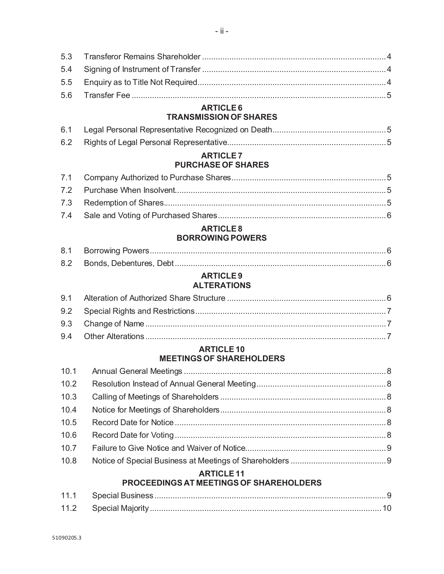#### **ARTICLE 6 TRANSMISSION OF SHARES**

# **ARTICLE 7 PURCHASE OF SHARES**

## **ARTICLE 8 BORROWING POWERS**

## **ARTICLE 9 ALTERATIONS**

# **ARTICLE 10 MEETINGS OF SHAREHOLDERS**

| 10.1 |                                                              |  |
|------|--------------------------------------------------------------|--|
| 10.2 |                                                              |  |
| 10.3 |                                                              |  |
| 10.4 |                                                              |  |
| 10.5 |                                                              |  |
| 10.6 |                                                              |  |
| 10.7 |                                                              |  |
| 10.8 |                                                              |  |
|      | <b>ARTICLE 11</b><br>PROCEEDINGS AT MEETINGS OF SHAREHOLDERS |  |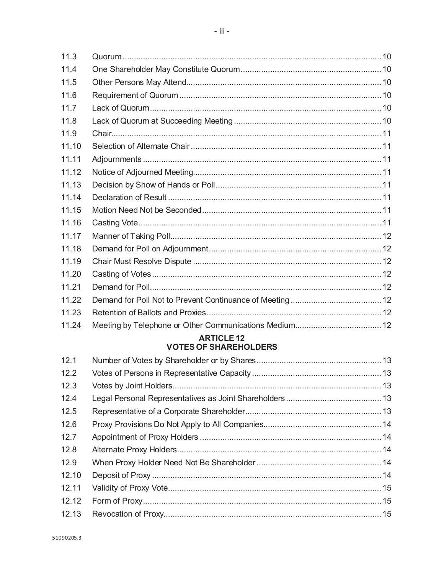51090205.3

 $11.3$  $11.4$ 

 $11.5$ 

| 11.6  |                                                   |      |
|-------|---------------------------------------------------|------|
| 11.7  |                                                   |      |
| 11.8  |                                                   |      |
| 11.9  |                                                   |      |
| 11.10 |                                                   |      |
| 11.11 |                                                   |      |
| 11.12 |                                                   |      |
| 11.13 |                                                   |      |
| 11.14 |                                                   |      |
| 11.15 |                                                   |      |
| 11.16 |                                                   |      |
| 11.17 |                                                   |      |
| 11.18 |                                                   |      |
| 11.19 |                                                   |      |
| 11.20 |                                                   |      |
| 11.21 |                                                   |      |
| 11.22 |                                                   |      |
| 11.23 |                                                   |      |
| 11.24 |                                                   |      |
|       | <b>ARTICLE 12</b><br><b>VOTES OF SHAREHOLDERS</b> |      |
| 12.1  |                                                   |      |
| 12.2  |                                                   |      |
| 12.3  |                                                   |      |
| 12.4  |                                                   |      |
| 12.5  |                                                   | . 13 |
| 12.6  |                                                   |      |
| 12.7  |                                                   |      |
| 12.8  |                                                   |      |
| 12.9  |                                                   |      |
| 12.10 |                                                   |      |
| 12.11 |                                                   |      |
| 12.12 |                                                   |      |
| 12.13 |                                                   |      |
|       |                                                   |      |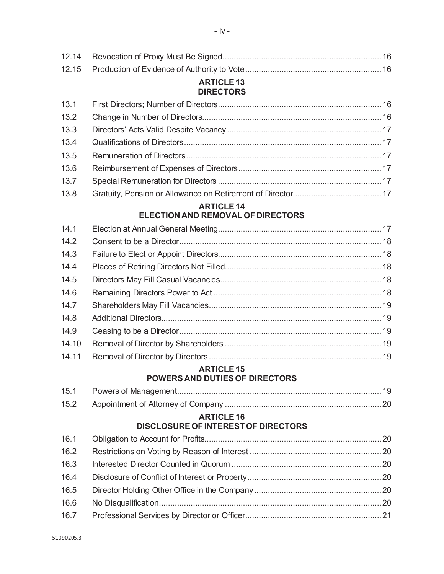| <b>ARTICLE 13</b> |  |
|-------------------|--|

# **DIRECTORS**

| 13.1 |  |
|------|--|
| 13.2 |  |
| 13.3 |  |
| 13.4 |  |
| 13.5 |  |
| 13.6 |  |
| 13.7 |  |
| 13.8 |  |

## **ARTICLE 14 ELECTION AND REMOVAL OF DIRECTORS**

| 14.1  |  |
|-------|--|
| 14.2  |  |
| 14.3  |  |
| 14.4  |  |
| 14.5  |  |
| 14.6  |  |
| 14.7  |  |
| 14.8  |  |
| 14.9  |  |
| 14.10 |  |
| 14.11 |  |

## **ARTICLE 15 POWERS AND DUTIES OF DIRECTORS**

# **ARTICLE 16**

| <b>DISCLOSURE OF INTEREST OF DIRECTORS</b> |  |  |
|--------------------------------------------|--|--|
| 16.1                                       |  |  |
| 16.2                                       |  |  |
| 16.3                                       |  |  |
| 16.4                                       |  |  |
| 16.5                                       |  |  |
| 16.6                                       |  |  |
| 16.7                                       |  |  |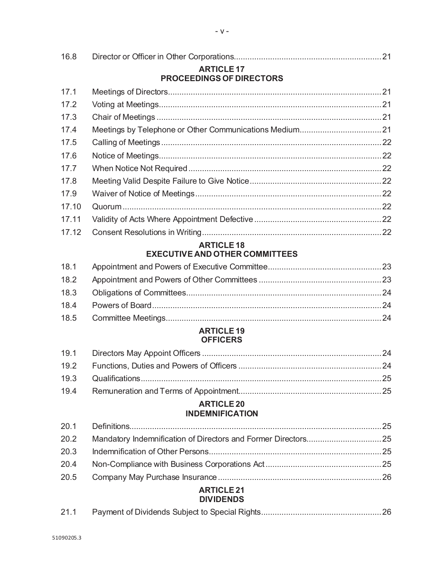| 16.8  |                                                            |  |
|-------|------------------------------------------------------------|--|
|       | <b>ARTICLE 17</b><br><b>PROCEEDINGS OF DIRECTORS</b>       |  |
| 17.1  |                                                            |  |
| 17.2  |                                                            |  |
| 17.3  |                                                            |  |
| 17.4  |                                                            |  |
| 17.5  |                                                            |  |
| 17.6  |                                                            |  |
| 17.7  |                                                            |  |
| 17.8  |                                                            |  |
| 17.9  |                                                            |  |
| 17.10 |                                                            |  |
| 17.11 |                                                            |  |
| 17.12 |                                                            |  |
|       | <b>ARTICLE 18</b><br><b>EXECUTIVE AND OTHER COMMITTEES</b> |  |
| 18.1  |                                                            |  |
| 18.2  |                                                            |  |
| 18.3  |                                                            |  |
| 18.4  |                                                            |  |
| 18.5  |                                                            |  |
|       | <b>ARTICLE 19</b><br><b>OFFICERS</b>                       |  |
| 19.1  |                                                            |  |
| 19.2  |                                                            |  |
| 19.3  |                                                            |  |
| 19.4  |                                                            |  |
|       | <b>ARTICLE 20</b><br><b>INDEMNIFICATION</b>                |  |
| 20.1  |                                                            |  |
| 20.2  |                                                            |  |
| 20.3  |                                                            |  |
| 20.4  |                                                            |  |
| 20.5  |                                                            |  |
|       | <b>ARTICLE 21</b><br><b>DIVIDENDS</b>                      |  |

|--|--|--|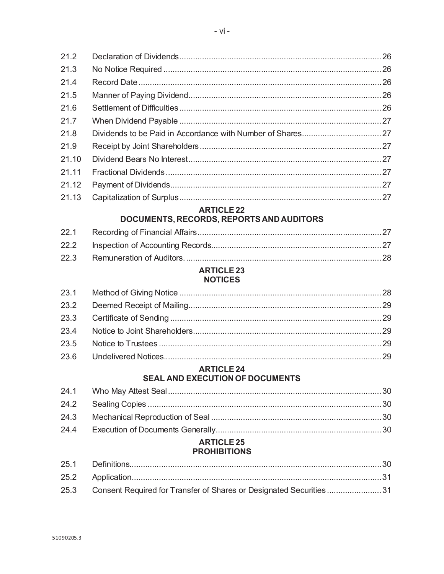| 21.2  |                                                                    |  |
|-------|--------------------------------------------------------------------|--|
| 21.3  |                                                                    |  |
| 21.4  |                                                                    |  |
| 21.5  |                                                                    |  |
| 21.6  |                                                                    |  |
| 21.7  |                                                                    |  |
| 21.8  |                                                                    |  |
| 21.9  |                                                                    |  |
| 21.10 |                                                                    |  |
| 21.11 |                                                                    |  |
| 21.12 |                                                                    |  |
| 21.13 |                                                                    |  |
|       | <b>ARTICLE 22</b><br>DOCUMENTS, RECORDS, REPORTS AND AUDITORS      |  |
| 22.1  |                                                                    |  |
| 22.2  |                                                                    |  |
| 22.3  |                                                                    |  |
|       | <b>ARTICLE 23</b><br><b>NOTICES</b>                                |  |
| 23.1  |                                                                    |  |
| 23.2  |                                                                    |  |
| 23.3  |                                                                    |  |
| 23.4  |                                                                    |  |
| 23.5  |                                                                    |  |
| 23.6  |                                                                    |  |
|       | <b>ARTICLE 24</b><br><b>SEAL AND EXECUTION OF DOCUMENTS</b>        |  |
| 24.1  |                                                                    |  |
| 24.2  |                                                                    |  |
| 24.3  |                                                                    |  |
| 24.4  |                                                                    |  |
|       | <b>ARTICLE 25</b>                                                  |  |
|       | <b>PROHIBITIONS</b>                                                |  |
| 25.1  |                                                                    |  |
| 25.2  |                                                                    |  |
| 25.3  | Consent Required for Transfer of Shares or Designated Securities31 |  |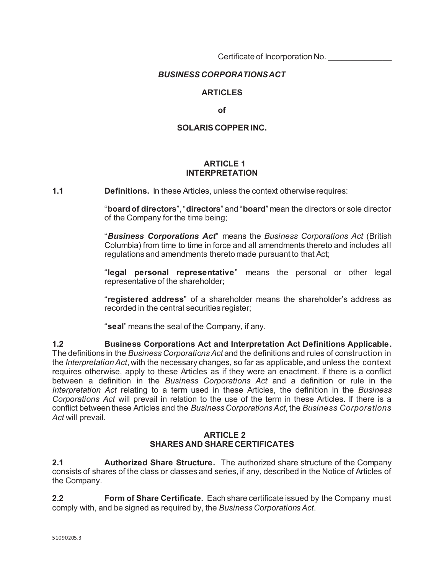Certificate of Incorporation No. \_\_\_\_\_\_\_\_\_\_\_\_\_\_

## *BUSINESS CORPORATIONS ACT*

## **ARTICLES**

**of** 

## **SOLARIS COPPER INC.**

## **ARTICLE 1 INTERPRETATION**

**1.1 Definitions.** In these Articles, unless the context otherwise requires:

"**board of directors**", "**directors**" and "**board**" mean the directors or sole director of the Company for the time being;

"*Business Corporations Act*" means the *Business Corporations Act* (British Columbia) from time to time in force and all amendments thereto and includes all regulations and amendments thereto made pursuant to that Act;

"**legal personal representative**" means the personal or other legal representative of the shareholder;

"**registered address**" of a shareholder means the shareholder's address as recorded in the central securities register;

"**seal**" means the seal of the Company, if any.

**1.2 Business Corporations Act and Interpretation Act Definitions Applicable.** The definitions in the *Business Corporations Act* and the definitions and rules of construction in the *Interpretation Act*, with the necessary changes, so far as applicable, and unless the context requires otherwise, apply to these Articles as if they were an enactment. If there is a conflict between a definition in the *Business Corporations Act* and a definition or rule in the *Interpretation Act* relating to a term used in these Articles, the definition in the *Business Corporations Act* will prevail in relation to the use of the term in these Articles. If there is a conflict between these Articles and the *Business Corporations Act*, the *Business Corporations Act* will prevail.

## **ARTICLE 2 SHARES AND SHARE CERTIFICATES**

**2.1 Authorized Share Structure.** The authorized share structure of the Company consists of shares of the class or classes and series, if any, described in the Notice of Articles of the Company.

**2.2 Form of Share Certificate.** Each share certificate issued by the Company must comply with, and be signed as required by, the *Business Corporations Act*.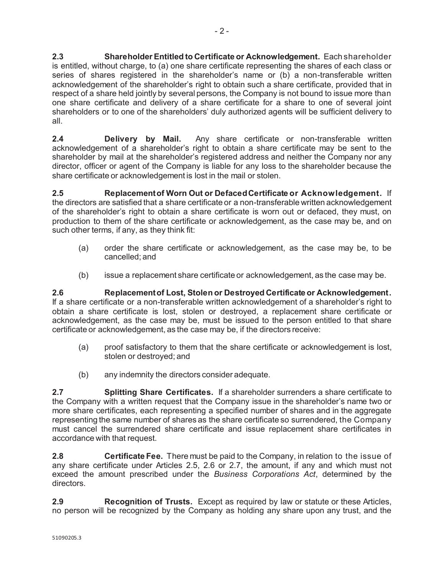**2.3 Shareholder Entitled to Certificate or Acknowledgement.** Each shareholder is entitled, without charge, to (a) one share certificate representing the shares of each class or series of shares registered in the shareholder's name or (b) a non-transferable written acknowledgement of the shareholder's right to obtain such a share certificate, provided that in respect of a share held jointly by several persons, the Company is not bound to issue more than one share certificate and delivery of a share certificate for a share to one of several joint shareholders or to one of the shareholders' duly authorized agents will be sufficient delivery to all.

**2.4 Delivery by Mail.** Any share certificate or non-transferable written acknowledgement of a shareholder's right to obtain a share certificate may be sent to the shareholder by mail at the shareholder's registered address and neither the Company nor any director, officer or agent of the Company is liable for any loss to the shareholder because the share certificate or acknowledgement is lost in the mail or stolen.

**2.5 Replacement of Worn Out or Defaced Certificate or Acknowledgement.** If the directors are satisfied that a share certificate or a non-transferable written acknowledgement of the shareholder's right to obtain a share certificate is worn out or defaced, they must, on production to them of the share certificate or acknowledgement, as the case may be, and on such other terms, if any, as they think fit:

- (a) order the share certificate or acknowledgement, as the case may be, to be cancelled; and
- (b) issue a replacement share certificate or acknowledgement, as the case may be.

**2.6 Replacement of Lost, Stolen or Destroyed Certificate or Acknowledgement.** If a share certificate or a non-transferable written acknowledgement of a shareholder's right to obtain a share certificate is lost, stolen or destroyed, a replacement share certificate or acknowledgement, as the case may be, must be issued to the person entitled to that share certificate or acknowledgement, as the case may be, if the directors receive:

- (a) proof satisfactory to them that the share certificate or acknowledgement is lost, stolen or destroyed; and
- (b) any indemnity the directors consider adequate.

**2.7 Splitting Share Certificates.** If a shareholder surrenders a share certificate to the Company with a written request that the Company issue in the shareholder's name two or more share certificates, each representing a specified number of shares and in the aggregate representing the same number of shares as the share certificate so surrendered, the Company must cancel the surrendered share certificate and issue replacement share certificates in accordance with that request.

**2.8 Certificate Fee.** There must be paid to the Company, in relation to the issue of any share certificate under Articles 2.5, 2.6 or 2.7, the amount, if any and which must not exceed the amount prescribed under the *Business Corporations Act*, determined by the directors.

**2.9 Recognition of Trusts.** Except as required by law or statute or these Articles, no person will be recognized by the Company as holding any share upon any trust, and the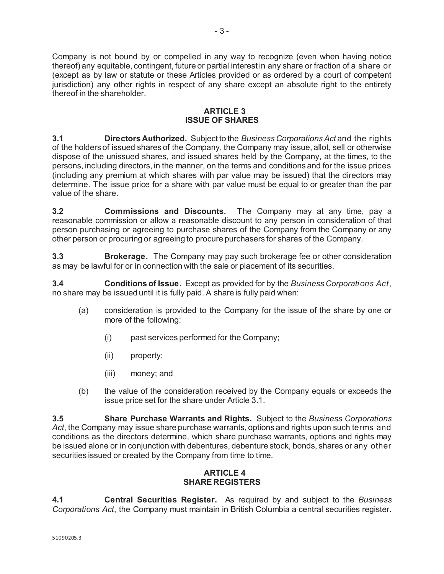Company is not bound by or compelled in any way to recognize (even when having notice thereof) any equitable, contingent, future or partial interest in any share or fraction of a share or (except as by law or statute or these Articles provided or as ordered by a court of competent jurisdiction) any other rights in respect of any share except an absolute right to the entirety thereof in the shareholder.

## **ARTICLE 3 ISSUE OF SHARES**

**3.1 Directors Authorized.** Subject to the *Business Corporations Act* and the rights of the holders of issued shares of the Company, the Company may issue, allot, sell or otherwise dispose of the unissued shares, and issued shares held by the Company, at the times, to the persons, including directors, in the manner, on the terms and conditions and for the issue prices (including any premium at which shares with par value may be issued) that the directors may determine. The issue price for a share with par value must be equal to or greater than the par value of the share.

**3.2 Commissions and Discounts.** The Company may at any time, pay a reasonable commission or allow a reasonable discount to any person in consideration of that person purchasing or agreeing to purchase shares of the Company from the Company or any other person or procuring or agreeing to procure purchasers for shares of the Company.

**3.3 Brokerage.** The Company may pay such brokerage fee or other consideration as may be lawful for or in connection with the sale or placement of its securities.

**3.4 Conditions of Issue.** Except as provided for by the *Business Corporations Act*, no share may be issued until it is fully paid. A share is fully paid when:

- (a) consideration is provided to the Company for the issue of the share by one or more of the following:
	- (i) past services performed for the Company;
	- (ii) property;
	- (iii) money; and
- (b) the value of the consideration received by the Company equals or exceeds the issue price set for the share under Article 3.1.

**3.5 Share Purchase Warrants and Rights.** Subject to the *Business Corporations Act*, the Company may issue share purchase warrants, options and rights upon such terms and conditions as the directors determine, which share purchase warrants, options and rights may be issued alone or in conjunction with debentures, debenture stock, bonds, shares or any other securities issued or created by the Company from time to time.

# **ARTICLE 4 SHARE REGISTERS**

**4.1 Central Securities Register.** As required by and subject to the *Business Corporations Act*, the Company must maintain in British Columbia a central securities register.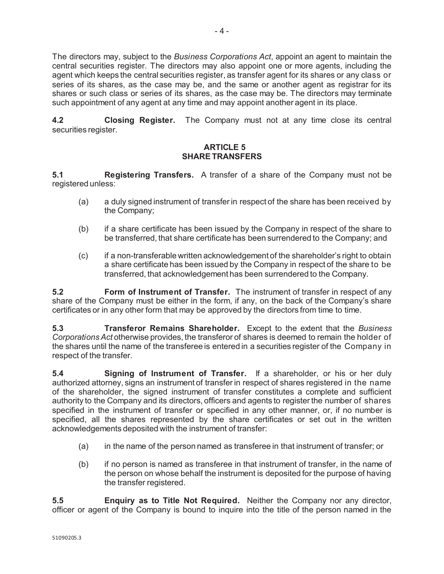The directors may, subject to the *Business Corporations Act*, appoint an agent to maintain the central securities register. The directors may also appoint one or more agents, including the agent which keeps the central securities register, as transfer agent for its shares or any class or series of its shares, as the case may be, and the same or another agent as registrar for its shares or such class or series of its shares, as the case may be. The directors may terminate such appointment of any agent at any time and may appoint another agent in its place.

**4.2 Closing Register.** The Company must not at any time close its central securities register.

#### **ARTICLE 5 SHARE TRANSFERS**

**5.1 Registering Transfers.** A transfer of a share of the Company must not be registered unless:

- (a) a duly signed instrument of transfer in respect of the share has been received by the Company;
- (b) if a share certificate has been issued by the Company in respect of the share to be transferred, that share certificate has been surrendered to the Company; and
- (c) if a non-transferable written acknowledgement of the shareholder's right to obtain a share certificate has been issued by the Company in respect of the share to be transferred, that acknowledgement has been surrendered to the Company.

**5.2 Form of Instrument of Transfer.** The instrument of transfer in respect of any share of the Company must be either in the form, if any, on the back of the Company's share certificates or in any other form that may be approved by the directors from time to time.

**5.3 Transferor Remains Shareholder.** Except to the extent that the *Business Corporations Act* otherwise provides, the transferor of shares is deemed to remain the holder of the shares until the name of the transferee is entered in a securities register of the Company in respect of the transfer.

**5.4 Signing of Instrument of Transfer.** If a shareholder, or his or her duly authorized attorney, signs an instrument of transfer in respect of shares registered in the name of the shareholder, the signed instrument of transfer constitutes a complete and sufficient authority to the Company and its directors, officers and agents to register the number of shares specified in the instrument of transfer or specified in any other manner, or, if no number is specified, all the shares represented by the share certificates or set out in the written acknowledgements deposited with the instrument of transfer:

- (a) in the name of the person named as transferee in that instrument of transfer; or
- (b) if no person is named as transferee in that instrument of transfer, in the name of the person on whose behalf the instrument is deposited for the purpose of having the transfer registered.

**5.5 Enquiry as to Title Not Required.** Neither the Company nor any director, officer or agent of the Company is bound to inquire into the title of the person named in the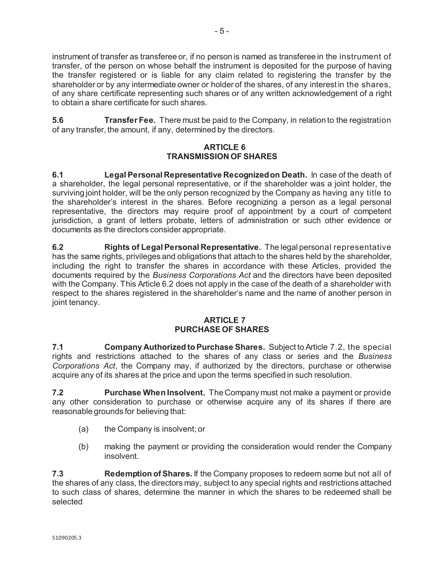instrument of transfer as transferee or, if no person is named as transferee in the instrument of transfer, of the person on whose behalf the instrument is deposited for the purpose of having the transfer registered or is liable for any claim related to registering the transfer by the shareholder or by any intermediate owner or holder of the shares, of any interest in the shares, of any share certificate representing such shares or of any written acknowledgement of a right to obtain a share certificate for such shares.

**5.6 Transfer Fee.** There must be paid to the Company, in relation to the registration of any transfer, the amount, if any, determined by the directors.

## **ARTICLE 6 TRANSMISSION OF SHARES**

**6.1 Legal Personal Representative Recognized on Death.** In case of the death of a shareholder, the legal personal representative, or if the shareholder was a joint holder, the surviving joint holder, will be the only person recognized by the Company as having any title to the shareholder's interest in the shares. Before recognizing a person as a legal personal representative, the directors may require proof of appointment by a court of competent jurisdiction, a grant of letters probate, letters of administration or such other evidence or documents as the directors consider appropriate.

**6.2 Rights of Legal Personal Representative.** The legal personal representative has the same rights, privileges and obligations that attach to the shares held by the shareholder, including the right to transfer the shares in accordance with these Articles, provided the documents required by the *Business Corporations Act* and the directors have been deposited with the Company. This Article 6.2 does not apply in the case of the death of a shareholder with respect to the shares registered in the shareholder's name and the name of another person in joint tenancy.

## **ARTICLE 7 PURCHASE OF SHARES**

**7.1 Company Authorized to Purchase Shares.** Subject to Article 7.2, the special rights and restrictions attached to the shares of any class or series and the *Business Corporations Act*, the Company may, if authorized by the directors, purchase or otherwise acquire any of its shares at the price and upon the terms specified in such resolution.

**7.2 Purchase When Insolvent.** The Company must not make a payment or provide any other consideration to purchase or otherwise acquire any of its shares if there are reasonable grounds for believing that:

- (a) the Company is insolvent; or
- (b) making the payment or providing the consideration would render the Company insolvent.

**7.3 Redemption of Shares.** If the Company proposes to redeem some but not all of the shares of any class, the directors may, subject to any special rights and restrictions attached to such class of shares, determine the manner in which the shares to be redeemed shall be selected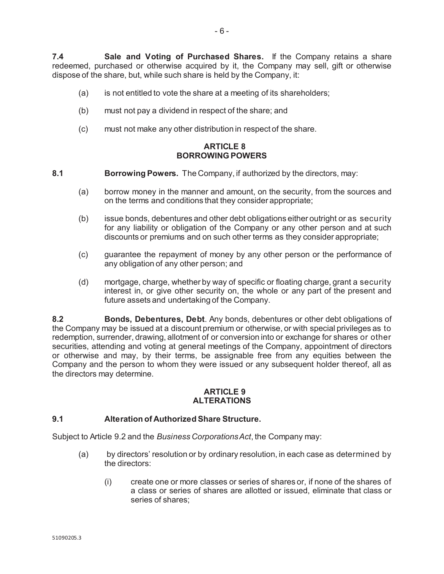**7.4 Sale and Voting of Purchased Shares.** If the Company retains a share redeemed, purchased or otherwise acquired by it, the Company may sell, gift or otherwise dispose of the share, but, while such share is held by the Company, it:

- (a) is not entitled to vote the share at a meeting of its shareholders;
- (b) must not pay a dividend in respect of the share; and
- (c) must not make any other distribution in respect of the share.

#### **ARTICLE 8 BORROWING POWERS**

- **8.1 Borrowing Powers.** The Company, if authorized by the directors, may:
	- (a) borrow money in the manner and amount, on the security, from the sources and on the terms and conditions that they consider appropriate;
	- (b) issue bonds, debentures and other debt obligations either outright or as security for any liability or obligation of the Company or any other person and at such discounts or premiums and on such other terms as they consider appropriate;
	- (c) guarantee the repayment of money by any other person or the performance of any obligation of any other person; and
	- (d) mortgage, charge, whether by way of specific or floating charge, grant a security interest in, or give other security on, the whole or any part of the present and future assets and undertaking of the Company.

**8.2 Bonds, Debentures, Debt**. Any bonds, debentures or other debt obligations of the Company may be issued at a discount premium or otherwise, or with special privileges as to redemption, surrender, drawing, allotment of or conversion into or exchange for shares or other securities, attending and voting at general meetings of the Company, appointment of directors or otherwise and may, by their terms, be assignable free from any equities between the Company and the person to whom they were issued or any subsequent holder thereof, all as the directors may determine.

#### **ARTICLE 9 ALTERATIONS**

## **9.1 Alteration of Authorized Share Structure.**

Subject to Article 9.2 and the *Business Corporations Act*, the Company may:

- (a) by directors' resolution or by ordinary resolution, in each case as determined by the directors:
	- (i) create one or more classes or series of shares or, if none of the shares of a class or series of shares are allotted or issued, eliminate that class or series of shares;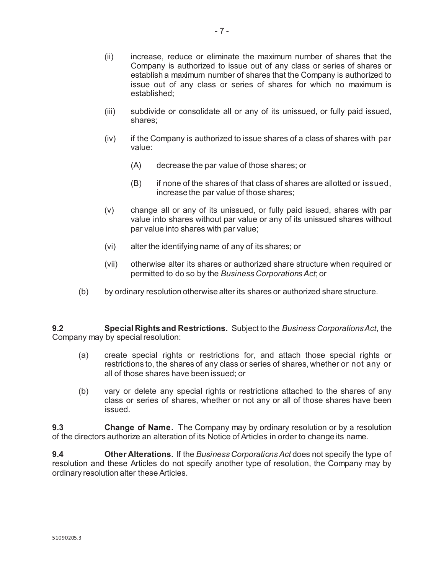- (ii) increase, reduce or eliminate the maximum number of shares that the Company is authorized to issue out of any class or series of shares or establish a maximum number of shares that the Company is authorized to issue out of any class or series of shares for which no maximum is established;
- (iii) subdivide or consolidate all or any of its unissued, or fully paid issued, shares;
- (iv) if the Company is authorized to issue shares of a class of shares with par value:
	- (A) decrease the par value of those shares; or
	- (B) if none of the shares of that class of shares are allotted or issued, increase the par value of those shares;
- (v) change all or any of its unissued, or fully paid issued, shares with par value into shares without par value or any of its unissued shares without par value into shares with par value;
- (vi) alter the identifying name of any of its shares; or
- (vii) otherwise alter its shares or authorized share structure when required or permitted to do so by the *Business Corporations Act*; or
- (b) by ordinary resolution otherwise alter its shares or authorized share structure.

**9.2 Special Rights and Restrictions.** Subject to the *Business Corporations Act*, the Company may by special resolution:

- (a) create special rights or restrictions for, and attach those special rights or restrictions to, the shares of any class or series of shares, whether or not any or all of those shares have been issued; or
- (b) vary or delete any special rights or restrictions attached to the shares of any class or series of shares, whether or not any or all of those shares have been issued.

**9.3 Change of Name.** The Company may by ordinary resolution or by a resolution of the directors authorize an alteration of its Notice of Articles in order to change its name.

**9.4 Other Alterations.** If the *Business Corporations Act* does not specify the type of resolution and these Articles do not specify another type of resolution, the Company may by ordinary resolution alter these Articles.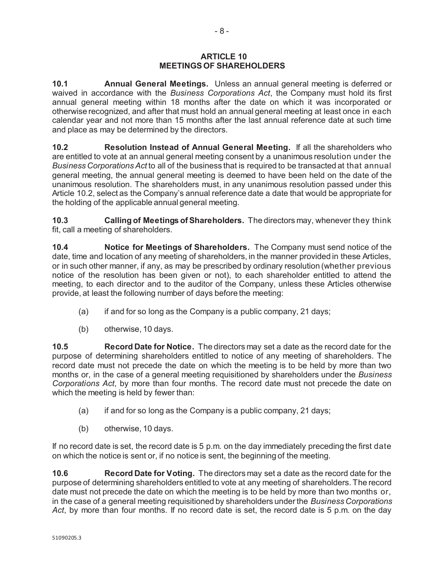**10.1 Annual General Meetings.** Unless an annual general meeting is deferred or waived in accordance with the *Business Corporations Act*, the Company must hold its first annual general meeting within 18 months after the date on which it was incorporated or otherwise recognized, and after that must hold an annual general meeting at least once in each calendar year and not more than 15 months after the last annual reference date at such time and place as may be determined by the directors.

**10.2 Resolution Instead of Annual General Meeting.** If all the shareholders who are entitled to vote at an annual general meeting consent by a unanimous resolution under the *Business Corporations Act* to all of the business that is required to be transacted at that annual general meeting, the annual general meeting is deemed to have been held on the date of the unanimous resolution. The shareholders must, in any unanimous resolution passed under this Article 10.2, select as the Company's annual reference date a date that would be appropriate for the holding of the applicable annual general meeting.

**10.3 Calling of Meetings of Shareholders.** The directors may, whenever they think fit, call a meeting of shareholders.

**10.4 Notice for Meetings of Shareholders.** The Company must send notice of the date, time and location of any meeting of shareholders, in the manner provided in these Articles, or in such other manner, if any, as may be prescribed by ordinary resolution (whether previous notice of the resolution has been given or not), to each shareholder entitled to attend the meeting, to each director and to the auditor of the Company, unless these Articles otherwise provide, at least the following number of days before the meeting:

- (a) if and for so long as the Company is a public company, 21 days;
- (b) otherwise, 10 days.

**10.5 Record Date for Notice.** The directors may set a date as the record date for the purpose of determining shareholders entitled to notice of any meeting of shareholders. The record date must not precede the date on which the meeting is to be held by more than two months or, in the case of a general meeting requisitioned by shareholders under the *Business Corporations Act*, by more than four months. The record date must not precede the date on which the meeting is held by fewer than:

- (a) if and for so long as the Company is a public company, 21 days;
- (b) otherwise, 10 days.

If no record date is set, the record date is 5 p.m. on the day immediately preceding the first date on which the notice is sent or, if no notice is sent, the beginning of the meeting.

**10.6 Record Date for Voting.** The directors may set a date as the record date for the purpose of determining shareholders entitled to vote at any meeting of shareholders. The record date must not precede the date on which the meeting is to be held by more than two months or, in the case of a general meeting requisitioned by shareholders under the *Business Corporations Act*, by more than four months. If no record date is set, the record date is 5 p.m. on the day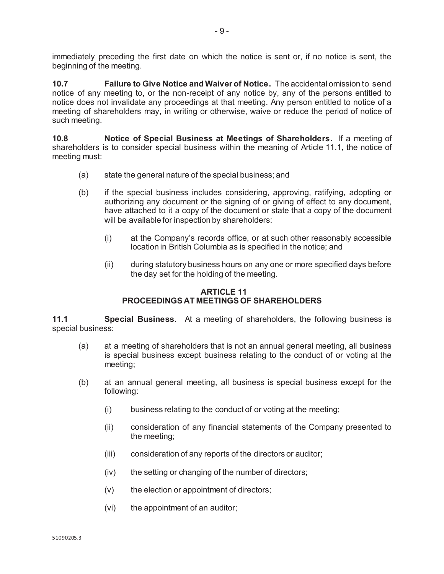immediately preceding the first date on which the notice is sent or, if no notice is sent, the beginning of the meeting.

**10.7 Failure to Give Notice and Waiver of Notice.** The accidental omission to send notice of any meeting to, or the non-receipt of any notice by, any of the persons entitled to notice does not invalidate any proceedings at that meeting. Any person entitled to notice of a meeting of shareholders may, in writing or otherwise, waive or reduce the period of notice of such meeting.

**10.8 Notice of Special Business at Meetings of Shareholders.** If a meeting of shareholders is to consider special business within the meaning of Article 11.1, the notice of meeting must:

- (a) state the general nature of the special business; and
- (b) if the special business includes considering, approving, ratifying, adopting or authorizing any document or the signing of or giving of effect to any document, have attached to it a copy of the document or state that a copy of the document will be available for inspection by shareholders:
	- (i) at the Company's records office, or at such other reasonably accessible location in British Columbia as is specified in the notice; and
	- (ii) during statutory business hours on any one or more specified days before the day set for the holding of the meeting.

## **ARTICLE 11 PROCEEDINGS AT MEETINGS OF SHAREHOLDERS**

**11.1 Special Business.** At a meeting of shareholders, the following business is special business:

- (a) at a meeting of shareholders that is not an annual general meeting, all business is special business except business relating to the conduct of or voting at the meeting;
- (b) at an annual general meeting, all business is special business except for the following:
	- (i) business relating to the conduct of or voting at the meeting;
	- (ii) consideration of any financial statements of the Company presented to the meeting;
	- (iii) consideration of any reports of the directors or auditor;
	- (iv) the setting or changing of the number of directors;
	- (v) the election or appointment of directors;
	- (vi) the appointment of an auditor;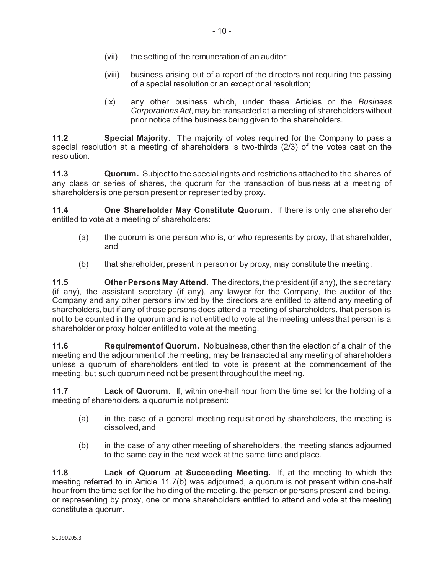- (viii) business arising out of a report of the directors not requiring the passing of a special resolution or an exceptional resolution;
- (ix) any other business which, under these Articles or the *Business Corporations Act*, may be transacted at a meeting of shareholders without prior notice of the business being given to the shareholders.

**11.2 Special Majority.** The majority of votes required for the Company to pass a special resolution at a meeting of shareholders is two-thirds (2/3) of the votes cast on the resolution.

**11.3 Quorum.** Subject to the special rights and restrictions attached to the shares of any class or series of shares, the quorum for the transaction of business at a meeting of shareholders is one person present or represented by proxy.

**11.4 One Shareholder May Constitute Quorum.** If there is only one shareholder entitled to vote at a meeting of shareholders:

- (a) the quorum is one person who is, or who represents by proxy, that shareholder, and
- (b) that shareholder, present in person or by proxy, may constitute the meeting.

**11.5 Other Persons May Attend.** The directors, the president (if any), the secretary (if any), the assistant secretary (if any), any lawyer for the Company, the auditor of the Company and any other persons invited by the directors are entitled to attend any meeting of shareholders, but if any of those persons does attend a meeting of shareholders, that person is not to be counted in the quorum and is not entitled to vote at the meeting unless that person is a shareholder or proxy holder entitled to vote at the meeting.

**11.6 Requirement of Quorum.** No business, other than the election of a chair of the meeting and the adjournment of the meeting, may be transacted at any meeting of shareholders unless a quorum of shareholders entitled to vote is present at the commencement of the meeting, but such quorum need not be present throughout the meeting.

**11.7 Lack of Quorum.** If, within one-half hour from the time set for the holding of a meeting of shareholders, a quorum is not present:

- (a) in the case of a general meeting requisitioned by shareholders, the meeting is dissolved, and
- (b) in the case of any other meeting of shareholders, the meeting stands adjourned to the same day in the next week at the same time and place.

**11.8 Lack of Quorum at Succeeding Meeting.** If, at the meeting to which the meeting referred to in Article 11.7(b) was adjourned, a quorum is not present within one-half hour from the time set for the holding of the meeting, the person or persons present and being, or representing by proxy, one or more shareholders entitled to attend and vote at the meeting constitute a quorum.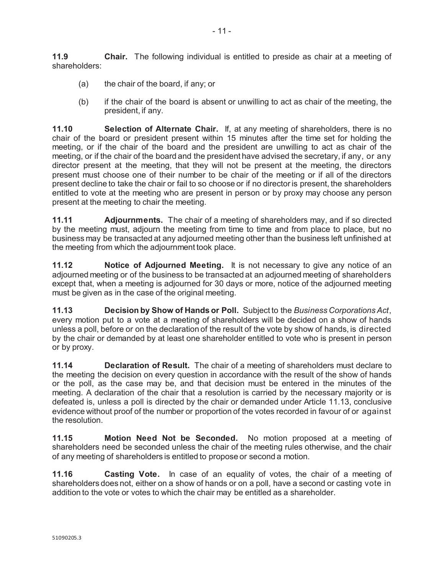**11.9 Chair.** The following individual is entitled to preside as chair at a meeting of shareholders:

- (a) the chair of the board, if any; or
- (b) if the chair of the board is absent or unwilling to act as chair of the meeting, the president, if any.

**11.10 Selection of Alternate Chair.** If, at any meeting of shareholders, there is no chair of the board or president present within 15 minutes after the time set for holding the meeting, or if the chair of the board and the president are unwilling to act as chair of the meeting, or if the chair of the board and the president have advised the secretary, if any, or any director present at the meeting, that they will not be present at the meeting, the directors present must choose one of their number to be chair of the meeting or if all of the directors present decline to take the chair or fail to so choose or if no director is present, the shareholders entitled to vote at the meeting who are present in person or by proxy may choose any person present at the meeting to chair the meeting.

**11.11 Adjournments.** The chair of a meeting of shareholders may, and if so directed by the meeting must, adjourn the meeting from time to time and from place to place, but no business may be transacted at any adjourned meeting other than the business left unfinished at the meeting from which the adjournment took place.

**11.12** Notice of Adjourned Meeting. It is not necessary to give any notice of an adjourned meeting or of the business to be transacted at an adjourned meeting of shareholders except that, when a meeting is adjourned for 30 days or more, notice of the adjourned meeting must be given as in the case of the original meeting.

**11.13 Decision by Show of Hands or Poll.** Subject to the *Business Corporations Act*, every motion put to a vote at a meeting of shareholders will be decided on a show of hands unless a poll, before or on the declaration of the result of the vote by show of hands, is directed by the chair or demanded by at least one shareholder entitled to vote who is present in person or by proxy.

**11.14 Declaration of Result.** The chair of a meeting of shareholders must declare to the meeting the decision on every question in accordance with the result of the show of hands or the poll, as the case may be, and that decision must be entered in the minutes of the meeting. A declaration of the chair that a resolution is carried by the necessary majority or is defeated is, unless a poll is directed by the chair or demanded under Article 11.13, conclusive evidence without proof of the number or proportion of the votes recorded in favour of or against the resolution.

**11.15 Motion Need Not be Seconded.** No motion proposed at a meeting of shareholders need be seconded unless the chair of the meeting rules otherwise, and the chair of any meeting of shareholders is entitled to propose or second a motion.

**11.16 Casting Vote.** In case of an equality of votes, the chair of a meeting of shareholders does not, either on a show of hands or on a poll, have a second or casting vote in addition to the vote or votes to which the chair may be entitled as a shareholder.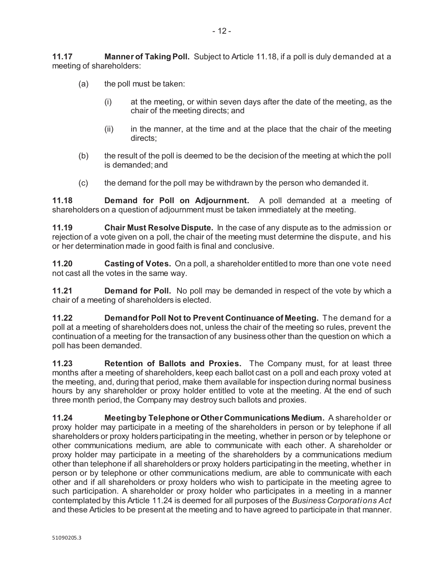- (a) the poll must be taken:
	- (i) at the meeting, or within seven days after the date of the meeting, as the chair of the meeting directs; and
	- (ii) in the manner, at the time and at the place that the chair of the meeting directs;
- (b) the result of the poll is deemed to be the decision of the meeting at which the poll is demanded; and
- (c) the demand for the poll may be withdrawn by the person who demanded it.

**11.18 Demand for Poll on Adjournment.** A poll demanded at a meeting of shareholders on a question of adjournment must be taken immediately at the meeting.

**11.19 Chair Must Resolve Dispute.** In the case of any dispute as to the admission or rejection of a vote given on a poll, the chair of the meeting must determine the dispute, and his or her determination made in good faith is final and conclusive.

**11.20 Casting of Votes.** On a poll, a shareholder entitled to more than one vote need not cast all the votes in the same way.

**11.21 Demand for Poll.** No poll may be demanded in respect of the vote by which a chair of a meeting of shareholders is elected.

**11.22 Demand for Poll Not to Prevent Continuance of Meeting.** The demand for a poll at a meeting of shareholders does not, unless the chair of the meeting so rules, prevent the continuation of a meeting for the transaction of any business other than the question on which a poll has been demanded.

**11.23 Retention of Ballots and Proxies.** The Company must, for at least three months after a meeting of shareholders, keep each ballot cast on a poll and each proxy voted at the meeting, and, during that period, make them available for inspection during normal business hours by any shareholder or proxy holder entitled to vote at the meeting. At the end of such three month period, the Company may destroy such ballots and proxies.

**11.24 Meeting by Telephone or Other Communications Medium.** A shareholder or proxy holder may participate in a meeting of the shareholders in person or by telephone if all shareholders or proxy holders participating in the meeting, whether in person or by telephone or other communications medium, are able to communicate with each other. A shareholder or proxy holder may participate in a meeting of the shareholders by a communications medium other than telephone if all shareholders or proxy holders participating in the meeting, whether in person or by telephone or other communications medium, are able to communicate with each other and if all shareholders or proxy holders who wish to participate in the meeting agree to such participation. A shareholder or proxy holder who participates in a meeting in a manner contemplated by this Article 11.24 is deemed for all purposes of the *Business Corporations Act* and these Articles to be present at the meeting and to have agreed to participate in that manner.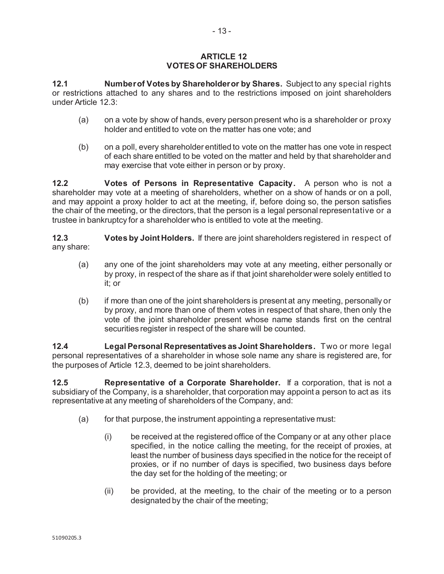#### **ARTICLE 12 VOTES OF SHAREHOLDERS**

**12.1 Number of Votes by Shareholder or by Shares.** Subject to any special rights or restrictions attached to any shares and to the restrictions imposed on joint shareholders under Article 12.3:

- (a) on a vote by show of hands, every person present who is a shareholder or proxy holder and entitled to vote on the matter has one vote; and
- (b) on a poll, every shareholder entitled to vote on the matter has one vote in respect of each share entitled to be voted on the matter and held by that shareholder and may exercise that vote either in person or by proxy.

**12.2 Votes of Persons in Representative Capacity.** A person who is not a shareholder may vote at a meeting of shareholders, whether on a show of hands or on a poll, and may appoint a proxy holder to act at the meeting, if, before doing so, the person satisfies the chair of the meeting, or the directors, that the person is a legal personal representative or a trustee in bankruptcy for a shareholder who is entitled to vote at the meeting.

**12.3 Votes by Joint Holders.** If there are joint shareholders registered in respect of any share:

- (a) any one of the joint shareholders may vote at any meeting, either personally or by proxy, in respect of the share as if that joint shareholder were solely entitled to it; or
- (b) if more than one of the joint shareholders is present at any meeting, personally or by proxy, and more than one of them votes in respect of that share, then only the vote of the joint shareholder present whose name stands first on the central securities register in respect of the share will be counted.

**12.4 Legal Personal Representatives as Joint Shareholders.** Two or more legal personal representatives of a shareholder in whose sole name any share is registered are, for the purposes of Article 12.3, deemed to be joint shareholders.

**12.5 Representative of a Corporate Shareholder.** If a corporation, that is not a subsidiary of the Company, is a shareholder, that corporation may appoint a person to act as its representative at any meeting of shareholders of the Company, and:

- $(a)$  for that purpose, the instrument appointing a representative must:
	- (i) be received at the registered office of the Company or at any other place specified, in the notice calling the meeting, for the receipt of proxies, at least the number of business days specified in the notice for the receipt of proxies, or if no number of days is specified, two business days before the day set for the holding of the meeting; or
	- (ii) be provided, at the meeting, to the chair of the meeting or to a person designated by the chair of the meeting;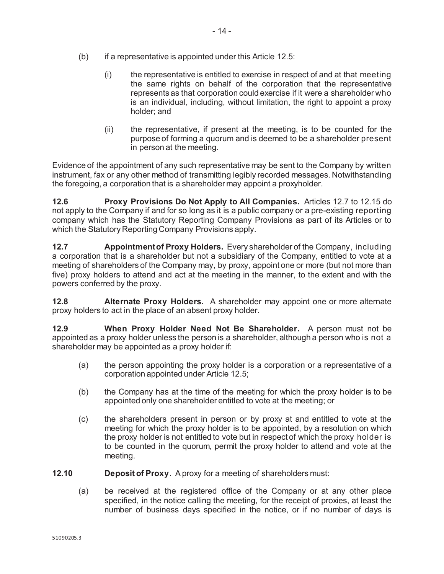- $(b)$  if a representative is appointed under this Article 12.5:
	- (i) the representative is entitled to exercise in respect of and at that meeting the same rights on behalf of the corporation that the representative represents as that corporation could exercise if it were a shareholder who is an individual, including, without limitation, the right to appoint a proxy holder; and
	- (ii) the representative, if present at the meeting, is to be counted for the purpose of forming a quorum and is deemed to be a shareholder present in person at the meeting.

Evidence of the appointment of any such representative may be sent to the Company by written instrument, fax or any other method of transmitting legibly recorded messages. Notwithstanding the foregoing, a corporation that is a shareholder may appoint a proxyholder.

**12.6 Proxy Provisions Do Not Apply to All Companies.** Articles 12.7 to 12.15 do not apply to the Company if and for so long as it is a public company or a pre-existing reporting company which has the Statutory Reporting Company Provisions as part of its Articles or to which the Statutory Reporting Company Provisions apply.

**12.7 Appointment of Proxy Holders.** Every shareholder of the Company, including a corporation that is a shareholder but not a subsidiary of the Company, entitled to vote at a meeting of shareholders of the Company may, by proxy, appoint one or more (but not more than five) proxy holders to attend and act at the meeting in the manner, to the extent and with the powers conferred by the proxy.

**12.8 Alternate Proxy Holders.** A shareholder may appoint one or more alternate proxy holders to act in the place of an absent proxy holder.

**12.9 When Proxy Holder Need Not Be Shareholder.** A person must not be appointed as a proxy holder unless the person is a shareholder, although a person who is not a shareholder may be appointed as a proxy holder if:

- (a) the person appointing the proxy holder is a corporation or a representative of a corporation appointed under Article 12.5;
- (b) the Company has at the time of the meeting for which the proxy holder is to be appointed only one shareholder entitled to vote at the meeting; or
- (c) the shareholders present in person or by proxy at and entitled to vote at the meeting for which the proxy holder is to be appointed, by a resolution on which the proxy holder is not entitled to vote but in respect of which the proxy holder is to be counted in the quorum, permit the proxy holder to attend and vote at the meeting.
- **12.10 Deposit of Proxy.** A proxy for a meeting of shareholders must:
	- (a) be received at the registered office of the Company or at any other place specified, in the notice calling the meeting, for the receipt of proxies, at least the number of business days specified in the notice, or if no number of days is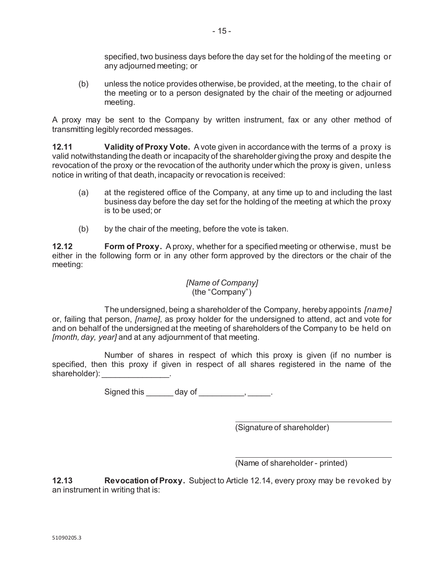specified, two business days before the day set for the holding of the meeting or any adjourned meeting; or

(b) unless the notice provides otherwise, be provided, at the meeting, to the chair of the meeting or to a person designated by the chair of the meeting or adjourned meeting.

A proxy may be sent to the Company by written instrument, fax or any other method of transmitting legibly recorded messages.

**12.11 Validity of Proxy Vote.** A vote given in accordance with the terms of a proxy is valid notwithstanding the death or incapacity of the shareholder giving the proxy and despite the revocation of the proxy or the revocation of the authority under which the proxy is given, unless notice in writing of that death, incapacity or revocation is received:

- (a) at the registered office of the Company, at any time up to and including the last business day before the day set for the holding of the meeting at which the proxy is to be used; or
- (b) by the chair of the meeting, before the vote is taken.

**12.12 Form of Proxy.** A proxy, whether for a specified meeting or otherwise, must be either in the following form or in any other form approved by the directors or the chair of the meeting:

## *[Name of Company]*  (the "Company")

The undersigned, being a shareholder of the Company, hereby appoints *[name]* or, failing that person, *[name]*, as proxy holder for the undersigned to attend, act and vote for and on behalf of the undersigned at the meeting of shareholders of the Company to be held on *[month, day, year]* and at any adjournment of that meeting.

Number of shares in respect of which this proxy is given (if no number is specified, then this proxy if given in respect of all shares registered in the name of the shareholder):

Signed this \_\_\_\_\_\_\_ day of \_\_\_\_\_\_\_\_\_\_, \_\_\_\_\_.

(Signature of shareholder)

(Name of shareholder - printed)

**12.13 Revocation of Proxy.** Subject to Article 12.14, every proxy may be revoked by an instrument in writing that is: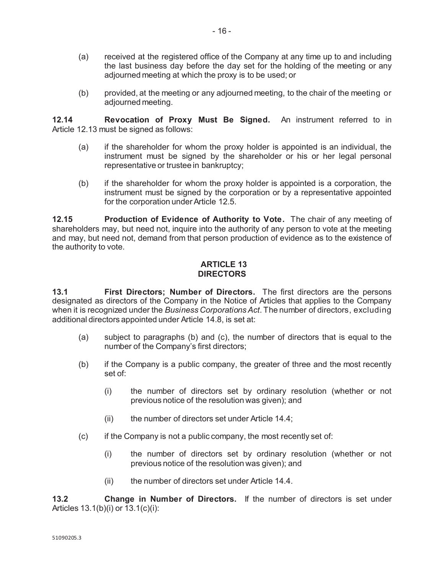- (a) received at the registered office of the Company at any time up to and including the last business day before the day set for the holding of the meeting or any adjourned meeting at which the proxy is to be used; or
- (b) provided, at the meeting or any adjourned meeting, to the chair of the meeting or adjourned meeting.

**12.14 Revocation of Proxy Must Be Signed.** An instrument referred to in Article 12.13 must be signed as follows:

- (a) if the shareholder for whom the proxy holder is appointed is an individual, the instrument must be signed by the shareholder or his or her legal personal representative or trustee in bankruptcy;
- (b) if the shareholder for whom the proxy holder is appointed is a corporation, the instrument must be signed by the corporation or by a representative appointed for the corporation under Article 12.5.

**12.15 Production of Evidence of Authority to Vote.** The chair of any meeting of shareholders may, but need not, inquire into the authority of any person to vote at the meeting and may, but need not, demand from that person production of evidence as to the existence of the authority to vote.

## **ARTICLE 13 DIRECTORS**

**13.1 First Directors; Number of Directors.** The first directors are the persons designated as directors of the Company in the Notice of Articles that applies to the Company when it is recognized under the *Business Corporations Act*. The number of directors, excluding additional directors appointed under Article 14.8, is set at:

- (a) subject to paragraphs (b) and (c), the number of directors that is equal to the number of the Company's first directors;
- (b) if the Company is a public company, the greater of three and the most recently set of:
	- (i) the number of directors set by ordinary resolution (whether or not previous notice of the resolution was given); and
	- (ii) the number of directors set under Article 14.4;
- $(c)$  if the Company is not a public company, the most recently set of:
	- (i) the number of directors set by ordinary resolution (whether or not previous notice of the resolution was given); and
	- (ii) the number of directors set under Article 14.4.

**13.2 Change in Number of Directors.** If the number of directors is set under Articles 13.1(b)(i) or 13.1(c)(i):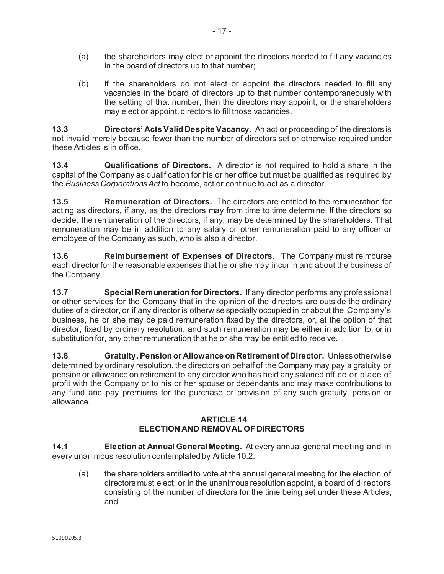- (a) the shareholders may elect or appoint the directors needed to fill any vacancies in the board of directors up to that number;
- (b) if the shareholders do not elect or appoint the directors needed to fill any vacancies in the board of directors up to that number contemporaneously with the setting of that number, then the directors may appoint, or the shareholders may elect or appoint, directors to fill those vacancies.

**13.3 Directors' Acts Valid Despite Vacancy.** An act or proceeding of the directors is not invalid merely because fewer than the number of directors set or otherwise required under these Articles is in office.

**13.4 Qualifications of Directors.** A director is not required to hold a share in the capital of the Company as qualification for his or her office but must be qualified as required by the *Business Corporations Act* to become, act or continue to act as a director.

**13.5 Remuneration of Directors.** The directors are entitled to the remuneration for acting as directors, if any, as the directors may from time to time determine. If the directors so decide, the remuneration of the directors, if any, may be determined by the shareholders. That remuneration may be in addition to any salary or other remuneration paid to any officer or employee of the Company as such, who is also a director.

**13.6 Reimbursement of Expenses of Directors.** The Company must reimburse each director for the reasonable expenses that he or she may incur in and about the business of the Company.

**13.7 Special Remuneration for Directors.** If any director performs any professional or other services for the Company that in the opinion of the directors are outside the ordinary duties of a director, or if any director is otherwise specially occupied in or about the Company's business, he or she may be paid remuneration fixed by the directors, or, at the option of that director, fixed by ordinary resolution, and such remuneration may be either in addition to, or in substitution for, any other remuneration that he or she may be entitled to receive.

**13.8 Gratuity, Pension or Allowance on Retirement of Director.** Unless otherwise determined by ordinary resolution, the directors on behalf of the Company may pay a gratuity or pension or allowance on retirement to any director who has held any salaried office or place of profit with the Company or to his or her spouse or dependants and may make contributions to any fund and pay premiums for the purchase or provision of any such gratuity, pension or allowance.

# **ARTICLE 14 ELECTION AND REMOVAL OF DIRECTORS**

**14.1 Election at Annual General Meeting.** At every annual general meeting and in every unanimous resolution contemplated by Article 10.2:

(a) the shareholders entitled to vote at the annual general meeting for the election of directors must elect, or in the unanimous resolution appoint, a board of directors consisting of the number of directors for the time being set under these Articles; and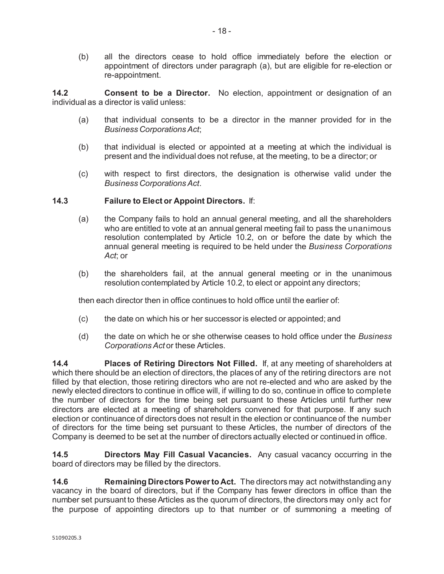(b) all the directors cease to hold office immediately before the election or appointment of directors under paragraph (a), but are eligible for re-election or re-appointment.

**14.2 Consent to be a Director.** No election, appointment or designation of an individual as a director is valid unless:

- (a) that individual consents to be a director in the manner provided for in the *Business Corporations Act*;
- (b) that individual is elected or appointed at a meeting at which the individual is present and the individual does not refuse, at the meeting, to be a director; or
- (c) with respect to first directors, the designation is otherwise valid under the *Business Corporations Act*.

#### **14.3 Failure to Elect or Appoint Directors.** If:

- (a) the Company fails to hold an annual general meeting, and all the shareholders who are entitled to vote at an annual general meeting fail to pass the unanimous resolution contemplated by Article 10.2, on or before the date by which the annual general meeting is required to be held under the *Business Corporations Act*; or
- (b) the shareholders fail, at the annual general meeting or in the unanimous resolution contemplated by Article 10.2, to elect or appoint any directors;

then each director then in office continues to hold office until the earlier of:

- (c) the date on which his or her successor is elected or appointed; and
- (d) the date on which he or she otherwise ceases to hold office under the *Business Corporations Act* or these Articles.

**14.4 Places of Retiring Directors Not Filled.** If, at any meeting of shareholders at which there should be an election of directors, the places of any of the retiring directors are not filled by that election, those retiring directors who are not re-elected and who are asked by the newly elected directors to continue in office will, if willing to do so, continue in office to complete the number of directors for the time being set pursuant to these Articles until further new directors are elected at a meeting of shareholders convened for that purpose. If any such election or continuance of directors does not result in the election or continuance of the number of directors for the time being set pursuant to these Articles, the number of directors of the Company is deemed to be set at the number of directors actually elected or continued in office.

**14.5 Directors May Fill Casual Vacancies.** Any casual vacancy occurring in the board of directors may be filled by the directors.

**14.6 Remaining Directors Power to Act.** The directors may act notwithstanding any vacancy in the board of directors, but if the Company has fewer directors in office than the number set pursuant to these Articles as the quorum of directors, the directors may only act for the purpose of appointing directors up to that number or of summoning a meeting of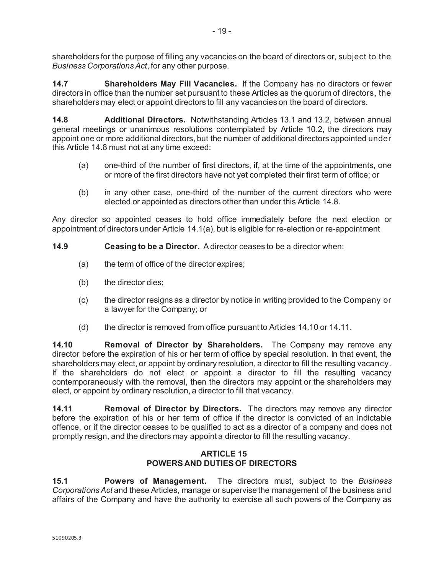shareholders for the purpose of filling any vacancies on the board of directors or, subject to the *Business Corporations Act*, for any other purpose.

**14.7 Shareholders May Fill Vacancies.** If the Company has no directors or fewer directors in office than the number set pursuant to these Articles as the quorum of directors, the shareholders may elect or appoint directors to fill any vacancies on the board of directors.

**14.8 Additional Directors.** Notwithstanding Articles 13.1 and 13.2, between annual general meetings or unanimous resolutions contemplated by Article 10.2, the directors may appoint one or more additional directors, but the number of additional directors appointed under this Article 14.8 must not at any time exceed:

- (a) one-third of the number of first directors, if, at the time of the appointments, one or more of the first directors have not yet completed their first term of office; or
- (b) in any other case, one-third of the number of the current directors who were elected or appointed as directors other than under this Article 14.8.

Any director so appointed ceases to hold office immediately before the next election or appointment of directors under Article 14.1(a), but is eligible for re-election or re-appointment

**14.9 Ceasing to be a Director.** A director ceases to be a director when:

- (a) the term of office of the director expires;
- (b) the director dies;
- (c) the director resigns as a director by notice in writing provided to the Company or a lawyer for the Company; or
- (d) the director is removed from office pursuant to Articles 14.10 or 14.11.

**14.10 Removal of Director by Shareholders.** The Company may remove any director before the expiration of his or her term of office by special resolution. In that event, the shareholders may elect, or appoint by ordinary resolution, a director to fill the resulting vacancy. If the shareholders do not elect or appoint a director to fill the resulting vacancy contemporaneously with the removal, then the directors may appoint or the shareholders may elect, or appoint by ordinary resolution, a director to fill that vacancy.

**14.11 Removal of Director by Directors.** The directors may remove any director before the expiration of his or her term of office if the director is convicted of an indictable offence, or if the director ceases to be qualified to act as a director of a company and does not promptly resign, and the directors may appoint a director to fill the resulting vacancy.

## **ARTICLE 15 POWERS AND DUTIES OF DIRECTORS**

**15.1 Powers of Management.** The directors must, subject to the *Business Corporations Act* and these Articles, manage or supervise the management of the business and affairs of the Company and have the authority to exercise all such powers of the Company as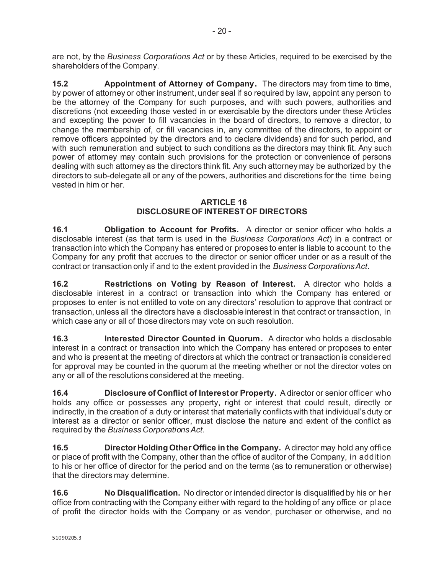are not, by the *Business Corporations Act* or by these Articles, required to be exercised by the shareholders of the Company.

**15.2** Appointment of Attorney of Company. The directors may from time to time, by power of attorney or other instrument, under seal if so required by law, appoint any person to be the attorney of the Company for such purposes, and with such powers, authorities and discretions (not exceeding those vested in or exercisable by the directors under these Articles and excepting the power to fill vacancies in the board of directors, to remove a director, to change the membership of, or fill vacancies in, any committee of the directors, to appoint or remove officers appointed by the directors and to declare dividends) and for such period, and with such remuneration and subject to such conditions as the directors may think fit. Any such power of attorney may contain such provisions for the protection or convenience of persons dealing with such attorney as the directors think fit. Any such attorney may be authorized by the directors to sub-delegate all or any of the powers, authorities and discretions for the time being vested in him or her.

## **ARTICLE 16 DISCLOSURE OF INTEREST OF DIRECTORS**

**16.1 Obligation to Account for Profits.** A director or senior officer who holds a disclosable interest (as that term is used in the *Business Corporations Act*) in a contract or transaction into which the Company has entered or proposes to enter is liable to account to the Company for any profit that accrues to the director or senior officer under or as a result of the contract or transaction only if and to the extent provided in the *Business Corporations Act*.

**16.2 Restrictions on Voting by Reason of Interest.** A director who holds a disclosable interest in a contract or transaction into which the Company has entered or proposes to enter is not entitled to vote on any directors' resolution to approve that contract or transaction, unless all the directors have a disclosable interest in that contract or transaction, in which case any or all of those directors may vote on such resolution.

**16.3 Interested Director Counted in Quorum.** A director who holds a disclosable interest in a contract or transaction into which the Company has entered or proposes to enter and who is present at the meeting of directors at which the contract or transaction is considered for approval may be counted in the quorum at the meeting whether or not the director votes on any or all of the resolutions considered at the meeting.

**16.4** Disclosure of Conflict of Interest or Property. A director or senior officer who holds any office or possesses any property, right or interest that could result, directly or indirectly, in the creation of a duty or interest that materially conflicts with that individual's duty or interest as a director or senior officer, must disclose the nature and extent of the conflict as required by the *Business Corporations Act.*

**16.5 Director Holding Other Office in the Company.** A director may hold any office or place of profit with the Company, other than the office of auditor of the Company, in addition to his or her office of director for the period and on the terms (as to remuneration or otherwise) that the directors may determine.

**16.6 No Disqualification.** No director or intended director is disqualified by his or her office from contracting with the Company either with regard to the holding of any office or place of profit the director holds with the Company or as vendor, purchaser or otherwise, and no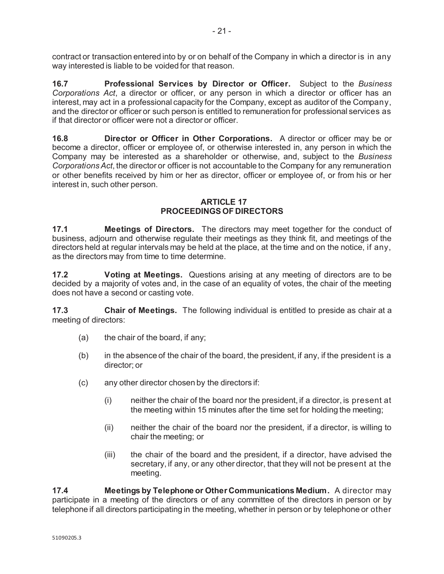contract or transaction entered into by or on behalf of the Company in which a director is in any way interested is liable to be voided for that reason.

**16.7 Professional Services by Director or Officer.** Subject to the *Business Corporations Act*, a director or officer, or any person in which a director or officer has an interest, may act in a professional capacity for the Company, except as auditor of the Company, and the director or officer or such person is entitled to remuneration for professional services as if that director or officer were not a director or officer.

**16.8 Director or Officer in Other Corporations.** A director or officer may be or become a director, officer or employee of, or otherwise interested in, any person in which the Company may be interested as a shareholder or otherwise, and, subject to the *Business Corporations Act*, the director or officer is not accountable to the Company for any remuneration or other benefits received by him or her as director, officer or employee of, or from his or her interest in, such other person.

## **ARTICLE 17 PROCEEDINGS OF DIRECTORS**

**17.1 Meetings of Directors.** The directors may meet together for the conduct of business, adjourn and otherwise regulate their meetings as they think fit, and meetings of the directors held at regular intervals may be held at the place, at the time and on the notice, if any, as the directors may from time to time determine.

**17.2 Voting at Meetings.** Questions arising at any meeting of directors are to be decided by a majority of votes and, in the case of an equality of votes, the chair of the meeting does not have a second or casting vote.

**17.3 Chair of Meetings.** The following individual is entitled to preside as chair at a meeting of directors:

- (a) the chair of the board, if any;
- (b) in the absence of the chair of the board, the president, if any, if the president is a director; or
- (c) any other director chosen by the directors if:
	- (i) neither the chair of the board nor the president, if a director, is present at the meeting within 15 minutes after the time set for holding the meeting;
	- (ii) neither the chair of the board nor the president, if a director, is willing to chair the meeting; or
	- (iii) the chair of the board and the president, if a director, have advised the secretary, if any, or any other director, that they will not be present at the meeting.

**17.4 Meetings by Telephone or Other Communications Medium.** A director may participate in a meeting of the directors or of any committee of the directors in person or by telephone if all directors participating in the meeting, whether in person or by telephone or other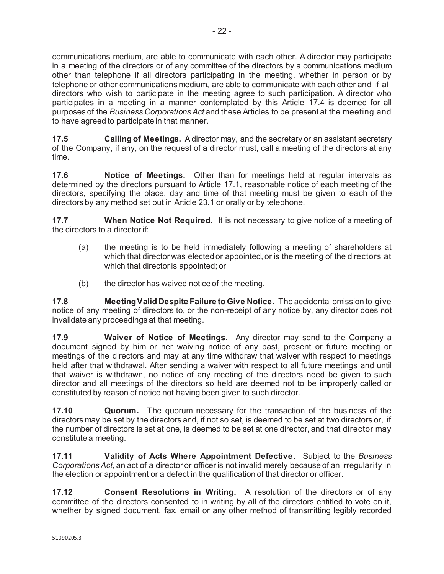communications medium, are able to communicate with each other. A director may participate in a meeting of the directors or of any committee of the directors by a communications medium other than telephone if all directors participating in the meeting, whether in person or by telephone or other communications medium, are able to communicate with each other and if all directors who wish to participate in the meeting agree to such participation. A director who participates in a meeting in a manner contemplated by this Article 17.4 is deemed for all purposes of the *Business Corporations Act* and these Articles to be present at the meeting and to have agreed to participate in that manner.

**17.5 Calling of Meetings.** A director may, and the secretary or an assistant secretary of the Company, if any, on the request of a director must, call a meeting of the directors at any time.

**17.6 Notice of Meetings.** Other than for meetings held at regular intervals as determined by the directors pursuant to Article 17.1, reasonable notice of each meeting of the directors, specifying the place, day and time of that meeting must be given to each of the directors by any method set out in Article 23.1 or orally or by telephone.

**17.7 When Notice Not Required.** It is not necessary to give notice of a meeting of the directors to a director if:

- (a) the meeting is to be held immediately following a meeting of shareholders at which that director was elected or appointed, or is the meeting of the directors at which that director is appointed; or
- (b) the director has waived notice of the meeting.

**17.8 Meeting Valid Despite Failure to Give Notice.** The accidental omission to give notice of any meeting of directors to, or the non-receipt of any notice by, any director does not invalidate any proceedings at that meeting.

**17.9 Waiver of Notice of Meetings.** Any director may send to the Company a document signed by him or her waiving notice of any past, present or future meeting or meetings of the directors and may at any time withdraw that waiver with respect to meetings held after that withdrawal. After sending a waiver with respect to all future meetings and until that waiver is withdrawn, no notice of any meeting of the directors need be given to such director and all meetings of the directors so held are deemed not to be improperly called or constituted by reason of notice not having been given to such director.

**17.10 Quorum.** The quorum necessary for the transaction of the business of the directors may be set by the directors and, if not so set, is deemed to be set at two directors or, if the number of directors is set at one, is deemed to be set at one director, and that director may constitute a meeting.

**17.11 Validity of Acts Where Appointment Defective.** Subject to the *Business Corporations Act*, an act of a director or officer is not invalid merely because of an irregularity in the election or appointment or a defect in the qualification of that director or officer.

**17.12 Consent Resolutions in Writing.** A resolution of the directors or of any committee of the directors consented to in writing by all of the directors entitled to vote on it, whether by signed document, fax, email or any other method of transmitting legibly recorded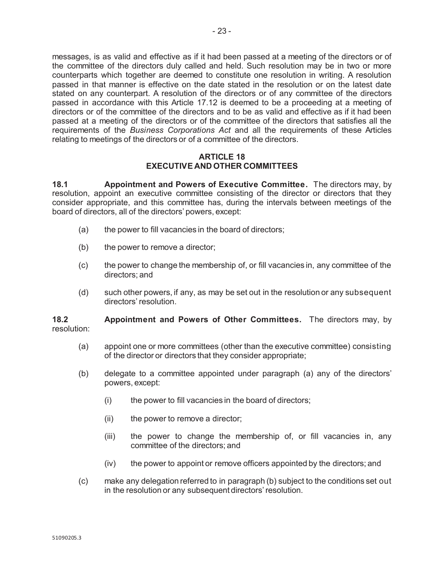messages, is as valid and effective as if it had been passed at a meeting of the directors or of the committee of the directors duly called and held. Such resolution may be in two or more counterparts which together are deemed to constitute one resolution in writing. A resolution passed in that manner is effective on the date stated in the resolution or on the latest date stated on any counterpart. A resolution of the directors or of any committee of the directors passed in accordance with this Article 17.12 is deemed to be a proceeding at a meeting of directors or of the committee of the directors and to be as valid and effective as if it had been passed at a meeting of the directors or of the committee of the directors that satisfies all the requirements of the *Business Corporations Act* and all the requirements of these Articles relating to meetings of the directors or of a committee of the directors.

#### **ARTICLE 18 EXECUTIVE AND OTHER COMMITTEES**

**18.1 Appointment and Powers of Executive Committee.** The directors may, by resolution, appoint an executive committee consisting of the director or directors that they consider appropriate, and this committee has, during the intervals between meetings of the board of directors, all of the directors' powers, except:

- (a) the power to fill vacancies in the board of directors;
- (b) the power to remove a director;
- (c) the power to change the membership of, or fill vacancies in, any committee of the directors; and
- (d) such other powers, if any, as may be set out in the resolution or any subsequent directors' resolution.

**18.2 Appointment and Powers of Other Committees.** The directors may, by resolution:

- (a) appoint one or more committees (other than the executive committee) consisting of the director or directors that they consider appropriate;
- (b) delegate to a committee appointed under paragraph (a) any of the directors' powers, except:
	- (i) the power to fill vacancies in the board of directors;
	- (ii) the power to remove a director;
	- (iii) the power to change the membership of, or fill vacancies in, any committee of the directors; and
	- (iv) the power to appoint or remove officers appointed by the directors; and
- (c) make any delegation referred to in paragraph (b) subject to the conditions set out in the resolution or any subsequent directors' resolution.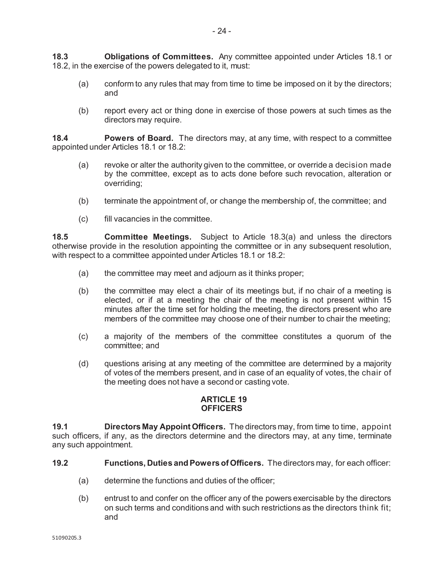**18.3 Obligations of Committees.** Any committee appointed under Articles 18.1 or 18.2, in the exercise of the powers delegated to it, must:

- (a) conform to any rules that may from time to time be imposed on it by the directors; and
- (b) report every act or thing done in exercise of those powers at such times as the directors may require.

**18.4 Powers of Board.** The directors may, at any time, with respect to a committee appointed under Articles 18.1 or 18.2:

- (a) revoke or alter the authority given to the committee, or override a decision made by the committee, except as to acts done before such revocation, alteration or overriding;
- (b) terminate the appointment of, or change the membership of, the committee; and
- (c) fill vacancies in the committee.

**18.5 Committee Meetings.** Subject to Article 18.3(a) and unless the directors otherwise provide in the resolution appointing the committee or in any subsequent resolution, with respect to a committee appointed under Articles 18.1 or 18.2:

- (a) the committee may meet and adjourn as it thinks proper;
- (b) the committee may elect a chair of its meetings but, if no chair of a meeting is elected, or if at a meeting the chair of the meeting is not present within 15 minutes after the time set for holding the meeting, the directors present who are members of the committee may choose one of their number to chair the meeting;
- (c) a majority of the members of the committee constitutes a quorum of the committee; and
- (d) questions arising at any meeting of the committee are determined by a majority of votes of the members present, and in case of an equality of votes, the chair of the meeting does not have a second or casting vote.

## **ARTICLE 19 OFFICERS**

**19.1 Directors May Appoint Officers.** The directors may, from time to time, appoint such officers, if any, as the directors determine and the directors may, at any time, terminate any such appointment.

- **19.2 Functions, Duties and Powers of Officers.** The directors may, for each officer:
	- (a) determine the functions and duties of the officer;
	- (b) entrust to and confer on the officer any of the powers exercisable by the directors on such terms and conditions and with such restrictions as the directors think fit; and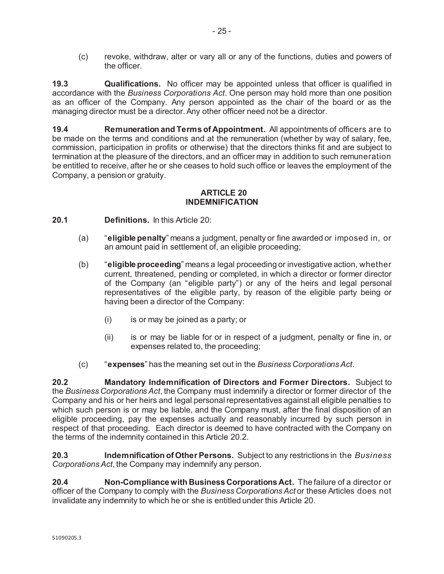(c) revoke, withdraw, alter or vary all or any of the functions, duties and powers of the officer.

**19.3 Qualifications.** No officer may be appointed unless that officer is qualified in accordance with the *Business Corporations Act*. One person may hold more than one position as an officer of the Company. Any person appointed as the chair of the board or as the managing director must be a director. Any other officer need not be a director.

**19.4 Remuneration and Terms of Appointment.** All appointments of officers are to be made on the terms and conditions and at the remuneration (whether by way of salary, fee, commission, participation in profits or otherwise) that the directors thinks fit and are subject to termination at the pleasure of the directors, and an officer may in addition to such remuneration be entitled to receive, after he or she ceases to hold such office or leaves the employment of the Company, a pension or gratuity.

#### **ARTICLE 20 INDEMNIFICATION**

**20.1 Definitions.** In this Article 20:

- (a) "**eligible penalty**" means a judgment, penalty or fine awarded or imposed in, or an amount paid in settlement of, an eligible proceeding;
- (b) "**eligible proceeding**" means a legal proceeding or investigative action, whether current, threatened, pending or completed, in which a director or former director of the Company (an "eligible party") or any of the heirs and legal personal representatives of the eligible party, by reason of the eligible party being or having been a director of the Company:
	- (i) is or may be joined as a party; or
	- (ii) is or may be liable for or in respect of a judgment, penalty or fine in, or expenses related to, the proceeding;
- (c) "**expenses**" has the meaning set out in the *Business Corporations Act*.

**20.2 Mandatory Indemnification of Directors and Former Directors.** Subject to the *Business Corporations Act*, the Company must indemnify a director or former director of the Company and his or her heirs and legal personal representatives against all eligible penalties to which such person is or may be liable, and the Company must, after the final disposition of an eligible proceeding, pay the expenses actually and reasonably incurred by such person in respect of that proceeding. Each director is deemed to have contracted with the Company on the terms of the indemnity contained in this Article 20.2.

**20.3 Indemnification of Other Persons.** Subject to any restrictions in the *Business Corporations Act*, the Company may indemnify any person.

**20.4 Non-Compliance with Business Corporations Act.** The failure of a director or officer of the Company to comply with the *Business Corporations Act* or these Articles does not invalidate any indemnity to which he or she is entitled under this Article 20.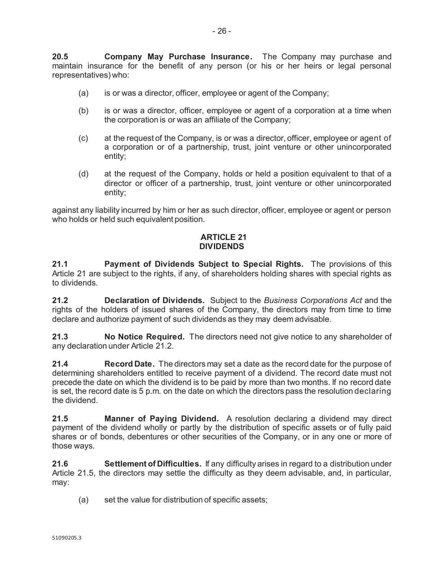**20.5 Company May Purchase Insurance.** The Company may purchase and maintain insurance for the benefit of any person (or his or her heirs or legal personal representatives) who:

- (a) is or was a director, officer, employee or agent of the Company;
- (b) is or was a director, officer, employee or agent of a corporation at a time when the corporation is or was an affiliate of the Company;
- (c) at the request of the Company, is or was a director, officer, employee or agent of a corporation or of a partnership, trust, joint venture or other unincorporated entity;
- (d) at the request of the Company, holds or held a position equivalent to that of a director or officer of a partnership, trust, joint venture or other unincorporated entity;

against any liability incurred by him or her as such director, officer, employee or agent or person who holds or held such equivalent position.

#### **ARTICLE 21 DIVIDENDS**

**21.1 Payment of Dividends Subject to Special Rights.** The provisions of this Article 21 are subject to the rights, if any, of shareholders holding shares with special rights as to dividends.

**21.2 Declaration of Dividends.** Subject to the *Business Corporations Act* and the rights of the holders of issued shares of the Company, the directors may from time to time declare and authorize payment of such dividends as they may deem advisable.

**21.3 No Notice Required.** The directors need not give notice to any shareholder of any declaration under Article 21.2.

**21.4 Record Date.** The directors may set a date as the record date for the purpose of determining shareholders entitled to receive payment of a dividend. The record date must not precede the date on which the dividend is to be paid by more than two months. If no record date is set, the record date is 5 p.m. on the date on which the directors pass the resolution declaring the dividend.

**21.5 Manner of Paying Dividend.** A resolution declaring a dividend may direct payment of the dividend wholly or partly by the distribution of specific assets or of fully paid shares or of bonds, debentures or other securities of the Company, or in any one or more of those ways.

**21.6 Settlement of Difficulties.** If any difficulty arises in regard to a distribution under Article 21.5, the directors may settle the difficulty as they deem advisable, and, in particular, may:

(a) set the value for distribution of specific assets;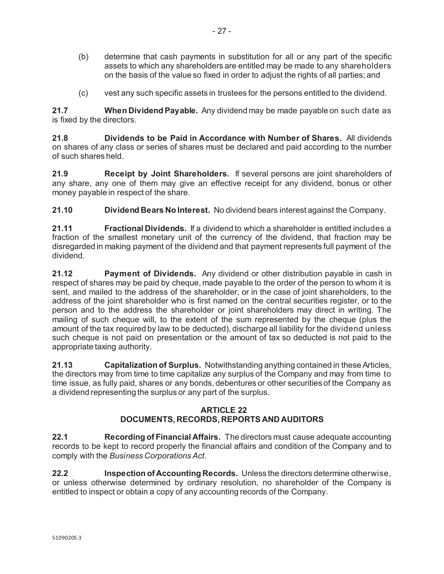- (b) determine that cash payments in substitution for all or any part of the specific assets to which any shareholders are entitled may be made to any shareholders on the basis of the value so fixed in order to adjust the rights of all parties; and
- (c) vest any such specific assets in trustees for the persons entitled to the dividend.

**21.7 When Dividend Payable.** Any dividend may be made payable on such date as is fixed by the directors.

**21.8 Dividends to be Paid in Accordance with Number of Shares.** All dividends on shares of any class or series of shares must be declared and paid according to the number of such shares held.

**21.9 Receipt by Joint Shareholders.** If several persons are joint shareholders of any share, any one of them may give an effective receipt for any dividend, bonus or other money payable in respect of the share.

**21.10 Dividend Bears No Interest.** No dividend bears interest against the Company.

**21.11 Fractional Dividends.** If a dividend to which a shareholder is entitled includes a fraction of the smallest monetary unit of the currency of the dividend, that fraction may be disregarded in making payment of the dividend and that payment represents full payment of the dividend.

**21.12 Payment of Dividends.** Any dividend or other distribution payable in cash in respect of shares may be paid by cheque, made payable to the order of the person to whom it is sent, and mailed to the address of the shareholder, or in the case of joint shareholders, to the address of the joint shareholder who is first named on the central securities register, or to the person and to the address the shareholder or joint shareholders may direct in writing. The mailing of such cheque will, to the extent of the sum represented by the cheque (plus the amount of the tax required by law to be deducted), discharge all liability for the dividend unless such cheque is not paid on presentation or the amount of tax so deducted is not paid to the appropriate taxing authority.

**21.13 Capitalization of Surplus.** Notwithstanding anything contained in these Articles, the directors may from time to time capitalize any surplus of the Company and may from time to time issue, as fully paid, shares or any bonds, debentures or other securities of the Company as a dividend representing the surplus or any part of the surplus.

# **ARTICLE 22 DOCUMENTS, RECORDS, REPORTS AND AUDITORS**

**22.1 Recording of Financial Affairs.** The directors must cause adequate accounting records to be kept to record properly the financial affairs and condition of the Company and to comply with the *Business Corporations Act*.

**22.2 Inspection of Accounting Records.** Unless the directors determine otherwise, or unless otherwise determined by ordinary resolution, no shareholder of the Company is entitled to inspect or obtain a copy of any accounting records of the Company.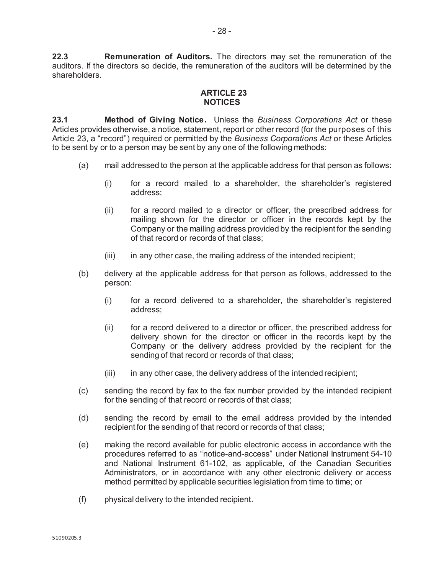**22.3 Remuneration of Auditors.** The directors may set the remuneration of the auditors. If the directors so decide, the remuneration of the auditors will be determined by the shareholders.

#### **ARTICLE 23 NOTICES**

**23.1 Method of Giving Notice.** Unless the *Business Corporations Act* or these Articles provides otherwise, a notice, statement, report or other record (for the purposes of this Article 23, a "record") required or permitted by the *Business Corporations Act* or these Articles to be sent by or to a person may be sent by any one of the following methods:

- (a) mail addressed to the person at the applicable address for that person as follows:
	- (i) for a record mailed to a shareholder, the shareholder's registered address;
	- (ii) for a record mailed to a director or officer, the prescribed address for mailing shown for the director or officer in the records kept by the Company or the mailing address provided by the recipient for the sending of that record or records of that class;
	- (iii) in any other case, the mailing address of the intended recipient;
- (b) delivery at the applicable address for that person as follows, addressed to the person:
	- (i) for a record delivered to a shareholder, the shareholder's registered address;
	- (ii) for a record delivered to a director or officer, the prescribed address for delivery shown for the director or officer in the records kept by the Company or the delivery address provided by the recipient for the sending of that record or records of that class;
	- (iii) in any other case, the delivery address of the intended recipient;
- (c) sending the record by fax to the fax number provided by the intended recipient for the sending of that record or records of that class;
- (d) sending the record by email to the email address provided by the intended recipient for the sending of that record or records of that class;
- (e) making the record available for public electronic access in accordance with the procedures referred to as "notice-and-access" under National Instrument 54-10 and National Instrument 61-102, as applicable, of the Canadian Securities Administrators, or in accordance with any other electronic delivery or access method permitted by applicable securities legislation from time to time; or
- (f) physical delivery to the intended recipient.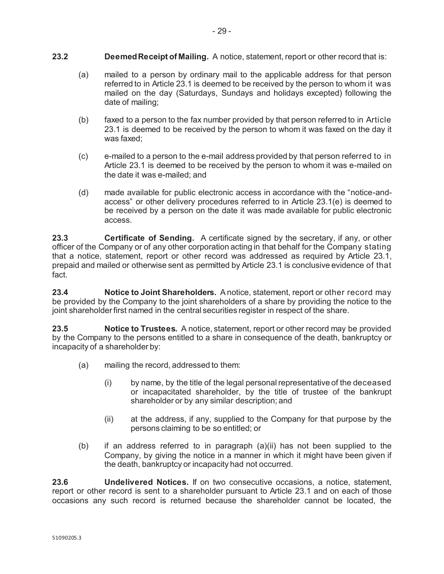- (a) mailed to a person by ordinary mail to the applicable address for that person referred to in Article 23.1 is deemed to be received by the person to whom it was mailed on the day (Saturdays, Sundays and holidays excepted) following the date of mailing;
- (b) faxed to a person to the fax number provided by that person referred to in Article 23.1 is deemed to be received by the person to whom it was faxed on the day it was faxed;
- (c) e-mailed to a person to the e-mail address provided by that person referred to in Article 23.1 is deemed to be received by the person to whom it was e-mailed on the date it was e-mailed; and
- (d) made available for public electronic access in accordance with the "notice-andaccess" or other delivery procedures referred to in Article 23.1(e) is deemed to be received by a person on the date it was made available for public electronic access.

**23.3 Certificate of Sending.** A certificate signed by the secretary, if any, or other officer of the Company or of any other corporation acting in that behalf for the Company stating that a notice, statement, report or other record was addressed as required by Article 23.1, prepaid and mailed or otherwise sent as permitted by Article 23.1 is conclusive evidence of that fact.

**23.4 Notice to Joint Shareholders.** A notice, statement, report or other record may be provided by the Company to the joint shareholders of a share by providing the notice to the joint shareholder first named in the central securities register in respect of the share.

**23.5 Notice to Trustees.** A notice, statement, report or other record may be provided by the Company to the persons entitled to a share in consequence of the death, bankruptcy or incapacity of a shareholder by:

- (a) mailing the record, addressed to them:
	- (i) by name, by the title of the legal personal representative of the deceased or incapacitated shareholder, by the title of trustee of the bankrupt shareholder or by any similar description; and
	- (ii) at the address, if any, supplied to the Company for that purpose by the persons claiming to be so entitled; or
- (b) if an address referred to in paragraph (a)(ii) has not been supplied to the Company, by giving the notice in a manner in which it might have been given if the death, bankruptcy or incapacity had not occurred.

**23.6 Undelivered Notices.** If on two consecutive occasions, a notice, statement, report or other record is sent to a shareholder pursuant to Article 23.1 and on each of those occasions any such record is returned because the shareholder cannot be located, the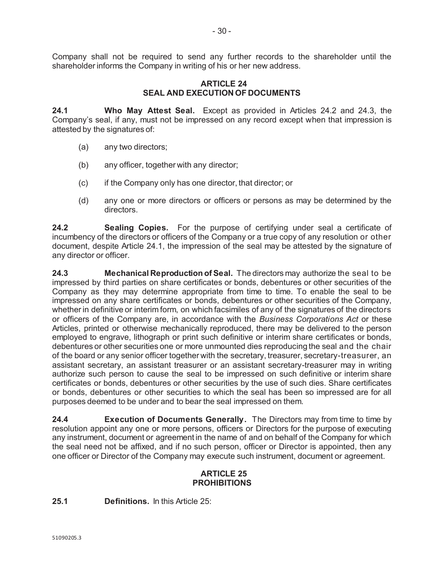Company shall not be required to send any further records to the shareholder until the shareholder informs the Company in writing of his or her new address.

#### **ARTICLE 24 SEAL AND EXECUTION OF DOCUMENTS**

**24.1 Who May Attest Seal.** Except as provided in Articles 24.2 and 24.3, the Company's seal, if any, must not be impressed on any record except when that impression is attested by the signatures of:

- (a) any two directors;
- (b) any officer, together with any director;
- (c) if the Company only has one director, that director; or
- (d) any one or more directors or officers or persons as may be determined by the directors.

**24.2 Sealing Copies.** For the purpose of certifying under seal a certificate of incumbency of the directors or officers of the Company or a true copy of any resolution or other document, despite Article 24.1, the impression of the seal may be attested by the signature of any director or officer.

**24.3 Mechanical Reproduction of Seal.** The directors may authorize the seal to be impressed by third parties on share certificates or bonds, debentures or other securities of the Company as they may determine appropriate from time to time. To enable the seal to be impressed on any share certificates or bonds, debentures or other securities of the Company, whether in definitive or interim form, on which facsimiles of any of the signatures of the directors or officers of the Company are, in accordance with the *Business Corporations Act* or these Articles, printed or otherwise mechanically reproduced, there may be delivered to the person employed to engrave, lithograph or print such definitive or interim share certificates or bonds, debentures or other securities one or more unmounted dies reproducing the seal and the chair of the board or any senior officer together with the secretary, treasurer, secretary-treasurer, an assistant secretary, an assistant treasurer or an assistant secretary-treasurer may in writing authorize such person to cause the seal to be impressed on such definitive or interim share certificates or bonds, debentures or other securities by the use of such dies. Share certificates or bonds, debentures or other securities to which the seal has been so impressed are for all purposes deemed to be under and to bear the seal impressed on them.

**24.4 Execution of Documents Generally.** The Directors may from time to time by resolution appoint any one or more persons, officers or Directors for the purpose of executing any instrument, document or agreement in the name of and on behalf of the Company for which the seal need not be affixed, and if no such person, officer or Director is appointed, then any one officer or Director of the Company may execute such instrument, document or agreement.

## **ARTICLE 25 PROHIBITIONS**

## **25.1 Definitions.** In this Article 25: